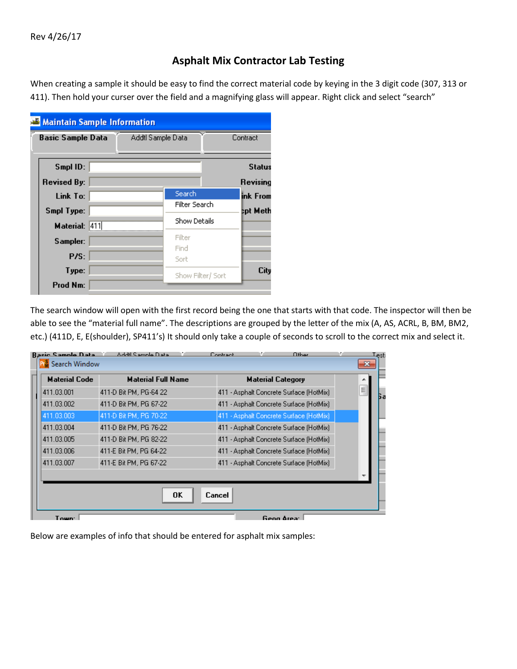## **Asphalt Mix Contractor Lab Testing**

When creating a sample it should be easy to find the correct material code by keying in the 3 digit code (307, 313 or 411). Then hold your curser over the field and a magnifying glass will appear. Right click and select "search"

| <b>Maintain Sample Information</b> |                   |                     |               |
|------------------------------------|-------------------|---------------------|---------------|
| <b>Basic Sample Data</b>           | Addtl Sample Data |                     | Contract      |
|                                    |                   |                     |               |
| Smpl ID:                           |                   |                     | <b>Status</b> |
| <b>Revised By:</b>                 |                   |                     | Revising      |
| Link To:                           |                   | Search              | ink From      |
| Smpl Type:                         |                   | Filter Search       | tpt Meth      |
| Material: 411                      |                   | <b>Show Details</b> |               |
| Sampler:                           |                   | Filter              |               |
|                                    |                   | Find                |               |
| P/S:                               |                   | Sort                |               |
| Type:                              |                   | Show Filter/ Sort   | City          |
| Prod Nm:                           |                   |                     |               |

The search window will open with the first record being the one that starts with that code. The inspector will then be able to see the "material full name". The descriptions are grouped by the letter of the mix (A, AS, ACRL, B, BM, BM2, etc.) (411D, E, E(shoulder), SP411's) It should only take a couple of seconds to scroll to the correct mix and select it.

| <b>Rasic Sample Data</b> | Addil Sample Data         | Other<br>Contract                        | Lest:        |
|--------------------------|---------------------------|------------------------------------------|--------------|
| Search Window            |                           |                                          | $\mathbf{x}$ |
| <b>Material Code</b>     | <b>Material Full Name</b> | <b>Material Category</b>                 |              |
| 411.03.001               | 411-D Bit PM, PG-64 22    | 411 - Asphalt Concrete Surface (HotMix)  | Ξ<br>Бa      |
| 411.03.002               | 411-D Bit PM, PG 67-22    | 411 - Asphalt Concrete Surface (HotMix)  |              |
| 411.03.003               | 411-D Bit PM, PG 70-22    | 411 - Asphalt Concrete Surface (HotMix). |              |
| 411.03.004               | 411-D Bit PM, PG 76-22    | 411 - Asphalt Concrete Surface (HotMix)  |              |
| 411.03.005               | 411-D Bit PM, PG 82-22    | 411 - Asphalt Concrete Surface (HotMix). |              |
| 411.03.006               | 411-E Bit PM, PG 64-22    | 411 - Asphalt Concrete Surface (HotMix)  |              |
| 411.03.007               | 411-E Bit PM, PG 67-22    | 411 - Asphalt Concrete Surface (HotMix)  |              |
|                          |                           |                                          |              |
|                          | 0K                        | Cancel                                   |              |
| Town <sup>-</sup>        |                           | Geog Area:                               |              |

Below are examples of info that should be entered for asphalt mix samples: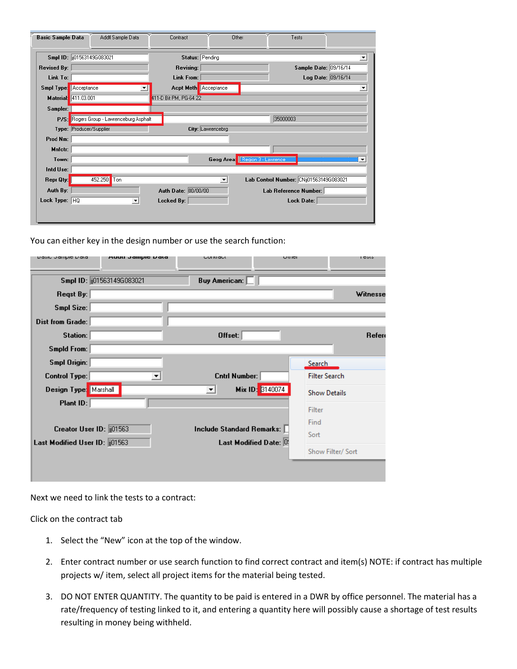| <b>Basic Sample Data</b>     | Addtl Sample Data                        | Contract                    | Other                | Tests                                   |                       |
|------------------------------|------------------------------------------|-----------------------------|----------------------|-----------------------------------------|-----------------------|
| Smpl ID: [01563149G083021    |                                          | Status: Pending             |                      |                                         | $\blacktriangledown$  |
| <b>Revised By:</b>           |                                          | <b>Revising:</b>            |                      |                                         | Sample Date: 09/16/14 |
| Link To:                     |                                          | <b>Link From:</b>           |                      |                                         | Log Date: 09/16/14    |
| <b>Smpl Type:</b> Acceptance |                                          | <b>Acpt Meth</b> Acceptance |                      |                                         | $\blacktriangledown$  |
| <b>Material:</b> 411.03.001  |                                          | 411-D Bit PM, PG-64 22      |                      |                                         |                       |
| Sampler:                     |                                          |                             |                      |                                         |                       |
|                              | P/S: Rogers Group - Lawrenceburg Asphalt |                             |                      | 35000003                                |                       |
| Type: Producer/Supplier      |                                          |                             | City: Lawrencebrg    |                                         |                       |
| Prod Nm:                     |                                          |                             |                      |                                         |                       |
| Mnfctr:                      |                                          |                             |                      |                                         |                       |
| Town:                        |                                          |                             |                      | Geog Area   Region 3 - Lawrence         |                       |
| Intd Use:                    |                                          |                             |                      |                                         |                       |
| Repr Qty:                    | 452.250<br>Ton                           |                             | $\blacktriangledown$ | Lab Control Number: CNij01563149G083021 |                       |
| Auth By:                     |                                          | Auth Date: 00/00/00         |                      | Lab Reference Number:                   |                       |
| Lock Type: $HQ$              | $\vert \cdot \vert$                      | Locked By:                  |                      | Lock Date:                              |                       |
|                              |                                          |                             |                      |                                         |                       |
|                              |                                          |                             |                      |                                         |                       |

You can either key in the design number or use the search function:

| nasie natilhie nara             | waan aamhic nara         | condact                     | ourcr                     | т сою                |
|---------------------------------|--------------------------|-----------------------------|---------------------------|----------------------|
|                                 | Smpl ID: 01563149G083021 | <b>Buy American:</b>        |                           |                      |
| Reqst By:                       |                          |                             |                           | Witnesse             |
| Smpl Size:                      |                          |                             |                           |                      |
| Dist from Grade:                |                          |                             |                           |                      |
| Station:                        |                          | Offset:                     |                           | Refere               |
| Smpld From:                     |                          |                             |                           |                      |
| Smpl Origin:                    |                          |                             | <b>Search</b>             |                      |
| <b>Control Type:</b>            | ▼                        | <b>Cntrl Number:</b>        |                           | <b>Filter Search</b> |
| Design Type: Marshall           |                          | ᅬ                           | Mix ID: 3140074           | <b>Show Details</b>  |
| Plant ID:                       |                          |                             | Filter                    |                      |
|                                 |                          |                             | Find                      |                      |
| Creator User ID: 01563          |                          | Include Standard Remarks: [ | Sort                      |                      |
| Last Modified User ID: [101563] |                          |                             | Last Modified Date: $[0]$ | Show Filter/ Sort    |
|                                 |                          |                             |                           |                      |
|                                 |                          |                             |                           |                      |

Next we need to link the tests to a contract:

Click on the contract tab

- 1. Select the "New" icon at the top of the window.
- 2. Enter contract number or use search function to find correct contract and item(s) NOTE: if contract has multiple projects w/ item, select all project items for the material being tested.
- 3. DO NOT ENTER QUANTITY. The quantity to be paid is entered in a DWR by office personnel. The material has a rate/frequency of testing linked to it, and entering a quantity here will possibly cause a shortage of test results resulting in money being withheld.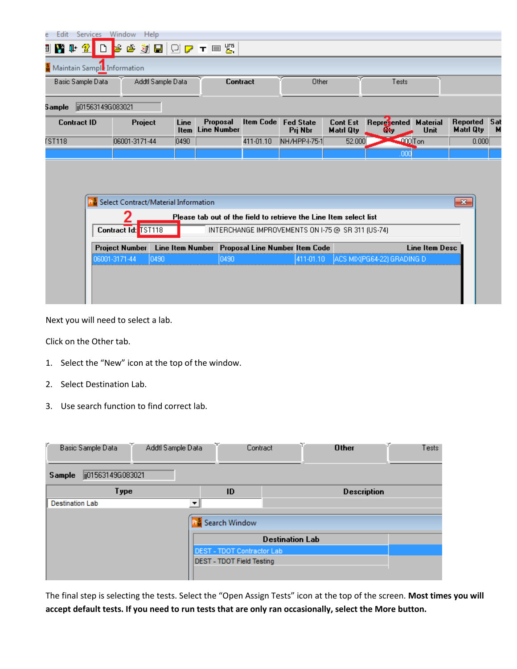| Edit<br>ē          | Services Window   | Help                                           |                   |                     |                                       |                  |                                                                   |                                     |                            |                         |                              |          |
|--------------------|-------------------|------------------------------------------------|-------------------|---------------------|---------------------------------------|------------------|-------------------------------------------------------------------|-------------------------------------|----------------------------|-------------------------|------------------------------|----------|
| ■ 腎 叶 金            |                   | ь                                              |                   |                     | G J H O C T ⊟ W                       |                  |                                                                   |                                     |                            |                         |                              |          |
|                    |                   | Maintain Sample Information                    |                   |                     |                                       |                  |                                                                   |                                     |                            |                         |                              |          |
|                    | Basic Sample Data |                                                | Addtl Sample Data |                     |                                       | Contract         | Other                                                             |                                     | Tests                      |                         |                              |          |
| 5 ample            | ji01563149G083021 |                                                |                   |                     |                                       |                  |                                                                   |                                     |                            |                         |                              |          |
| <b>Contract ID</b> |                   | Project                                        |                   | Line<br><b>Item</b> | <b>Proposal</b><br><b>Line Number</b> | <b>Item Code</b> | <b>Fed State</b><br>Pri Nbr                                       | <b>Cont Est</b><br><b>Matri Qtv</b> | Represented<br>÷           | <b>Material</b><br>Unit | Reported<br><b>Matri Qty</b> | Sat<br>м |
| <b>FST118</b>      |                   | 06001-3171-44                                  |                   | 0490                |                                       | 411-01.10        | NH/HPP-I-75-1                                                     | 52.000                              | $-000$ Ton                 |                         | 0.000                        |          |
|                    |                   |                                                |                   |                     |                                       |                  |                                                                   |                                     | ,000                       |                         |                              |          |
|                    |                   | <b>PM</b> Select Contract/Material Information |                   |                     |                                       |                  |                                                                   |                                     |                            |                         | $\mathbf{x}$                 |          |
|                    |                   |                                                |                   |                     |                                       |                  | Please tab out of the field to retrieve the Line Item select list |                                     |                            |                         |                              |          |
|                    |                   | Contract Id:                                   | <b>TST118</b>     |                     |                                       |                  | INTERCHANGE IMPROVEMENTS ON 1-75 @ SR 311 (US-74)                 |                                     |                            |                         |                              |          |
|                    |                   | <b>Project Number</b>                          |                   |                     |                                       |                  | Line Item Number Proposal Line Number Item Code                   |                                     |                            | <b>Line Item Desc</b>   |                              |          |
|                    |                   | 06001-3171-44                                  | 10490             |                     | 0490                                  |                  | 411-01.10                                                         |                                     | ACS MIX(PG64-22) GRADING D |                         |                              |          |
|                    |                   |                                                |                   |                     |                                       |                  |                                                                   |                                     |                            |                         |                              |          |

Next you will need to select a lab.

Click on the Other tab.

- 1. Select the "New" icon at the top of the window.
- 2. Select Destination Lab.
- 3. Use search function to find correct lab.

| F.                     | æ.<br>Basic Sample Data | Addtl Sample Data | æ.                                | N.<br>Contract         | <b>Other</b>       | Tests |
|------------------------|-------------------------|-------------------|-----------------------------------|------------------------|--------------------|-------|
| Sample                 | ji01563149G083021       |                   |                                   |                        |                    |       |
|                        | Type                    |                   | ID                                |                        | <b>Description</b> |       |
| <b>Destination Lab</b> |                         | ▼                 |                                   |                        |                    |       |
|                        |                         |                   | Search Window                     | <b>Destination Lab</b> |                    |       |
|                        |                         |                   | <b>DEST - TDOT Contractor Lab</b> |                        |                    |       |
|                        |                         |                   | <b>DEST - TDOT Field Testing</b>  |                        |                    |       |

The final step is selecting the tests. Select the "Open Assign Tests" icon at the top of the screen. **Most times you will accept default tests. If you need to run tests that are only ran occasionally, select the More button.**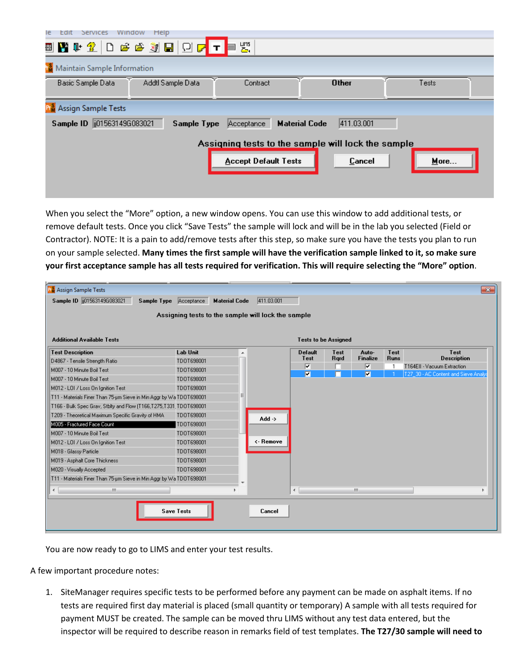| Help<br>Edit<br>Services<br>Window<br>le   |                             |                                                    |       |
|--------------------------------------------|-----------------------------|----------------------------------------------------|-------|
| ▣▇⋫?│Dеёзј⊟ О <mark>г</mark> т•‼           |                             |                                                    |       |
| <b>Maintain Sample Information</b>         |                             |                                                    |       |
| Addtl Sample Data<br>Basic Sample Data     | Contract                    | <b>Other</b>                                       | Tests |
| <b>PM</b> Assign Sample Tests              |                             |                                                    |       |
| Sample ID   015631496083021<br>Sample Type | Acceptance                  | 411.03.001<br><b>Material Code</b>                 |       |
|                                            |                             | Assigning tests to the sample will lock the sample |       |
|                                            | <b>Accept Default Tests</b> | Cancel                                             | More  |
|                                            |                             |                                                    |       |
|                                            |                             |                                                    |       |

When you select the "More" option, a new window opens. You can use this window to add additional tests, or remove default tests. Once you click "Save Tests" the sample will lock and will be in the lab you selected (Field or Contractor). NOTE: It is a pain to add/remove tests after this step, so make sure you have the tests you plan to run on your sample selected. **Many times the first sample will have the verification sample linked to it, so make sure your first acceptance sample has all tests required for verification. This will require selecting the "More" option**.

| <b>P.</b> Assign Sample Tests                                       |                                                    |                   |                             |              |                         |             | $\mathbf{x}$                        |
|---------------------------------------------------------------------|----------------------------------------------------|-------------------|-----------------------------|--------------|-------------------------|-------------|-------------------------------------|
| Sample ID [1015631496083021]<br>Sample Type Acceptance              | <b>Material Code</b>                               | 411.03.001        |                             |              |                         |             |                                     |
| <b>Additional Available Tests</b>                                   | Assigning tests to the sample will lock the sample |                   | <b>Tests to be Assigned</b> |              |                         |             |                                     |
| <b>Test Description</b>                                             | <b>Lab Unit</b><br>A                               |                   | <b>Default</b>              | Test         | Auto-                   | Test        | Test                                |
| D4867 - Tensile Strength Ratio                                      | TD0T698001                                         |                   | Test                        | <b>R</b> qrd | <b>Finalize</b>         | <b>Runs</b> | <b>Description</b>                  |
| M007 - 10 Minute Boil Test                                          | TD0T698001                                         |                   | ⊽                           |              | $\overline{\mathbf{v}}$ |             | T164Ell - Vacuum Extraction         |
| M007 - 10 Minute Boil Test                                          | TD0T698001                                         |                   | $\blacksquare$              |              | $\overline{r}$          |             | T27_30 - AC Content and Sieve Analy |
| M012 - LOI / Loss On Ignition Test                                  | TD0T698001                                         |                   |                             |              |                         |             |                                     |
| T11 - Materials Finer Than 75-um Sieve in Min Aggr by Wa TDOT698001 | Ξ                                                  |                   |                             |              |                         |             |                                     |
| T166 - Bulk Spec Grav, Stblty and Flow (T166,T275,T331, TDOT698001  |                                                    |                   |                             |              |                         |             |                                     |
| T209 - Theoretical Maximum Specific Gravity of HMA                  | TD0T698001                                         | Add $\rightarrow$ |                             |              |                         |             |                                     |
| M005 - Fractured Face Count                                         | TD0T698001                                         |                   |                             |              |                         |             |                                     |
| M007 - 10 Minute Boil Test                                          | TD0T698001                                         |                   |                             |              |                         |             |                                     |
| M012 - LOI / Loss On Ignition Test                                  | TD0T698001                                         | <- Remove         |                             |              |                         |             |                                     |
| M018 - Glassy Particle                                              | TD0T698001                                         |                   |                             |              |                         |             |                                     |
| M019 - Asphalt Core Thickness                                       | TD0T698001                                         |                   |                             |              |                         |             |                                     |
| M020 - Visually Accepted                                            | TD0T698001                                         |                   |                             |              |                         |             |                                     |
| T11 - Materials Finer Than 75-um Sieve in Min Aggr by Wa TDOT698001 |                                                    |                   |                             |              |                         |             |                                     |
| m.<br>∢                                                             |                                                    |                   | $\blacktriangleleft$        |              | m.                      |             |                                     |
|                                                                     |                                                    |                   |                             |              |                         |             |                                     |
|                                                                     | <b>Save Tests</b>                                  | Cancel            |                             |              |                         |             |                                     |

You are now ready to go to LIMS and enter your test results.

A few important procedure notes:

1. SiteManager requires specific tests to be performed before any payment can be made on asphalt items. If no tests are required first day material is placed (small quantity or temporary) A sample with all tests required for payment MUST be created. The sample can be moved thru LIMS without any test data entered, but the inspector will be required to describe reason in remarks field of test templates. **The T27/30 sample will need to**